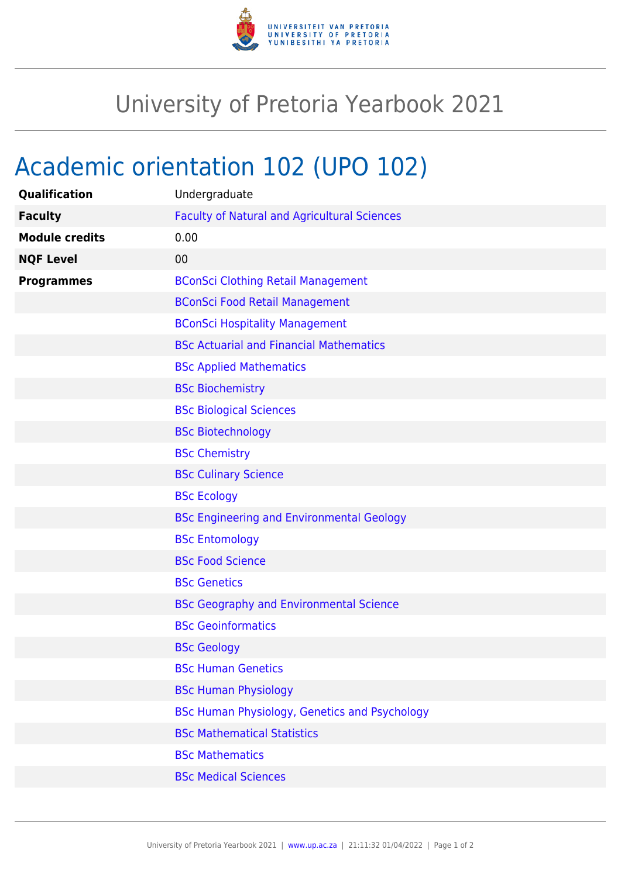

## University of Pretoria Yearbook 2021

## Academic orientation 102 (UPO 102)

| Qualification         | Undergraduate                                       |
|-----------------------|-----------------------------------------------------|
| <b>Faculty</b>        | <b>Faculty of Natural and Agricultural Sciences</b> |
| <b>Module credits</b> | 0.00                                                |
| <b>NQF Level</b>      | 00                                                  |
| <b>Programmes</b>     | <b>BConSci Clothing Retail Management</b>           |
|                       | <b>BConSci Food Retail Management</b>               |
|                       | <b>BConSci Hospitality Management</b>               |
|                       | <b>BSc Actuarial and Financial Mathematics</b>      |
|                       | <b>BSc Applied Mathematics</b>                      |
|                       | <b>BSc Biochemistry</b>                             |
|                       | <b>BSc Biological Sciences</b>                      |
|                       | <b>BSc Biotechnology</b>                            |
|                       | <b>BSc Chemistry</b>                                |
|                       | <b>BSc Culinary Science</b>                         |
|                       | <b>BSc Ecology</b>                                  |
|                       | <b>BSc Engineering and Environmental Geology</b>    |
|                       | <b>BSc Entomology</b>                               |
|                       | <b>BSc Food Science</b>                             |
|                       | <b>BSc Genetics</b>                                 |
|                       | <b>BSc Geography and Environmental Science</b>      |
|                       | <b>BSc Geoinformatics</b>                           |
|                       | <b>BSc Geology</b>                                  |
|                       | <b>BSc Human Genetics</b>                           |
|                       | <b>BSc Human Physiology</b>                         |
|                       | BSc Human Physiology, Genetics and Psychology       |
|                       | <b>BSc Mathematical Statistics</b>                  |
|                       | <b>BSc Mathematics</b>                              |
|                       | <b>BSc Medical Sciences</b>                         |
|                       |                                                     |